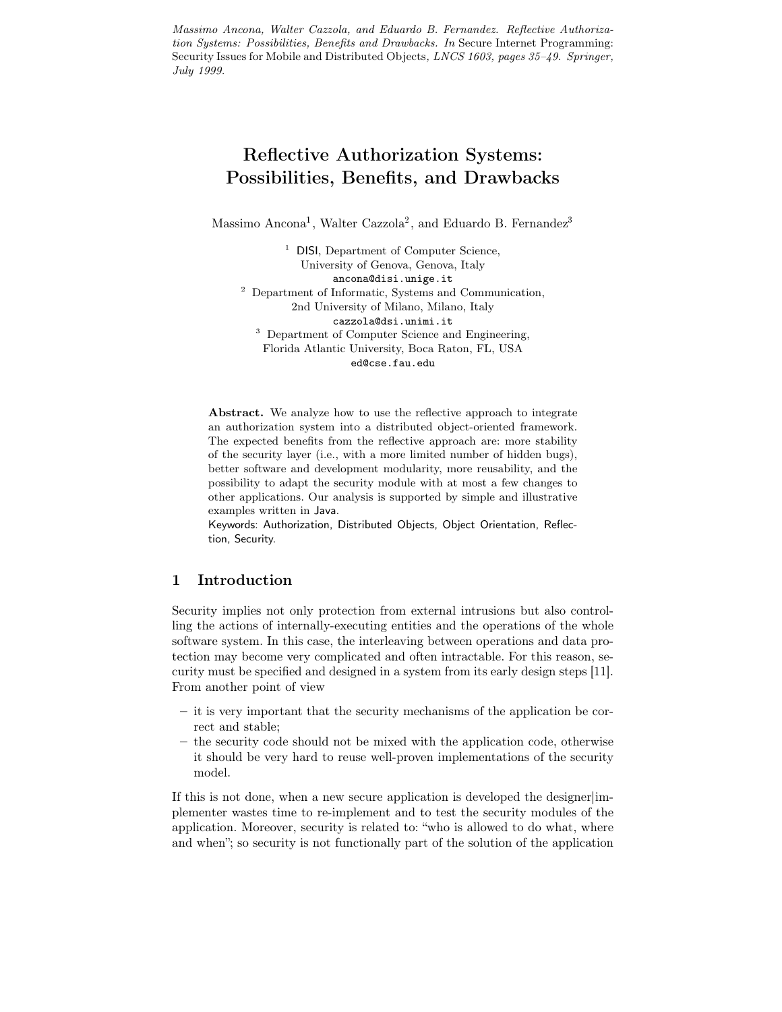Massimo Ancona, Walter Cazzola, and Eduardo B. Fernandez. Reflective Authorization Systems: Possibilities, Benefits and Drawbacks. In Secure Internet Programming: Security Issues for Mobile and Distributed Objects, LNCS 1603, pages 35–49. Springer, July 1999.

# Reflective Authorization Systems: Possibilities, Benefits, and Drawbacks

Massimo Ancona<sup>1</sup>, Walter Cazzola<sup>2</sup>, and Eduardo B. Fernandez<sup>3</sup>

<sup>1</sup> DISI, Department of Computer Science, University of Genova, Genova, Italy ancona@disi.unige.it <sup>2</sup> Department of Informatic, Systems and Communication, 2nd University of Milano, Milano, Italy cazzola@dsi.unimi.it <sup>3</sup> Department of Computer Science and Engineering, Florida Atlantic University, Boca Raton, FL, USA ed@cse.fau.edu

Abstract. We analyze how to use the reflective approach to integrate an authorization system into a distributed object-oriented framework. The expected benefits from the reflective approach are: more stability of the security layer (i.e., with a more limited number of hidden bugs), better software and development modularity, more reusability, and the possibility to adapt the security module with at most a few changes to other applications. Our analysis is supported by simple and illustrative examples written in Java.

Keywords: Authorization, Distributed Objects, Object Orientation, Reflection, Security.

# 1 Introduction

Security implies not only protection from external intrusions but also controlling the actions of internally-executing entities and the operations of the whole software system. In this case, the interleaving between operations and data protection may become very complicated and often intractable. For this reason, security must be specified and designed in a system from its early design steps [11]. From another point of view

- it is very important that the security mechanisms of the application be correct and stable;
- the security code should not be mixed with the application code, otherwise it should be very hard to reuse well-proven implementations of the security model.

If this is not done, when a new secure application is developed the designer implementer wastes time to re-implement and to test the security modules of the application. Moreover, security is related to: "who is allowed to do what, where and when"; so security is not functionally part of the solution of the application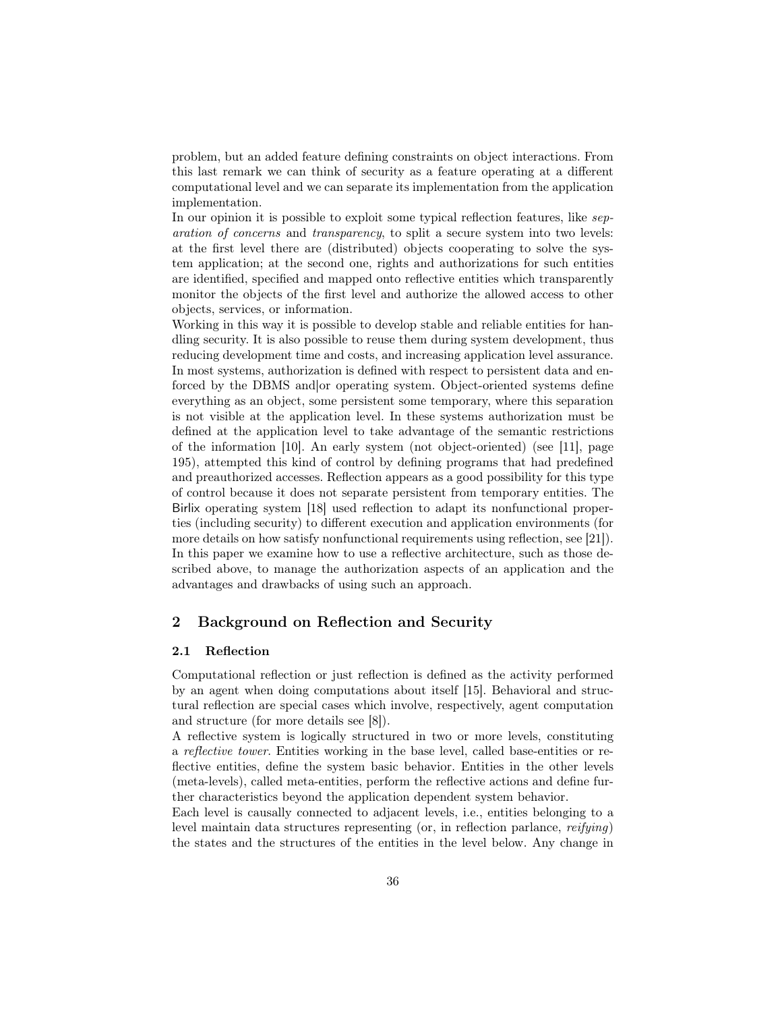problem, but an added feature defining constraints on object interactions. From this last remark we can think of security as a feature operating at a different computational level and we can separate its implementation from the application implementation.

In our opinion it is possible to exploit some typical reflection features, like separation of concerns and transparency, to split a secure system into two levels: at the first level there are (distributed) objects cooperating to solve the system application; at the second one, rights and authorizations for such entities are identified, specified and mapped onto reflective entities which transparently monitor the objects of the first level and authorize the allowed access to other objects, services, or information.

Working in this way it is possible to develop stable and reliable entities for handling security. It is also possible to reuse them during system development, thus reducing development time and costs, and increasing application level assurance. In most systems, authorization is defined with respect to persistent data and enforced by the DBMS and or operating system. Object-oriented systems define everything as an object, some persistent some temporary, where this separation is not visible at the application level. In these systems authorization must be defined at the application level to take advantage of the semantic restrictions of the information [10]. An early system (not object-oriented) (see [11], page 195), attempted this kind of control by defining programs that had predefined and preauthorized accesses. Reflection appears as a good possibility for this type of control because it does not separate persistent from temporary entities. The Birlix operating system [18] used reflection to adapt its nonfunctional properties (including security) to different execution and application environments (for more details on how satisfy nonfunctional requirements using reflection, see [21]). In this paper we examine how to use a reflective architecture, such as those described above, to manage the authorization aspects of an application and the advantages and drawbacks of using such an approach.

# 2 Background on Reflection and Security

### 2.1 Reflection

Computational reflection or just reflection is defined as the activity performed by an agent when doing computations about itself [15]. Behavioral and structural reflection are special cases which involve, respectively, agent computation and structure (for more details see [8]).

A reflective system is logically structured in two or more levels, constituting a reflective tower. Entities working in the base level, called base-entities or reflective entities, define the system basic behavior. Entities in the other levels (meta-levels), called meta-entities, perform the reflective actions and define further characteristics beyond the application dependent system behavior.

Each level is causally connected to adjacent levels, i.e., entities belonging to a level maintain data structures representing (or, in reflection parlance, reifying) the states and the structures of the entities in the level below. Any change in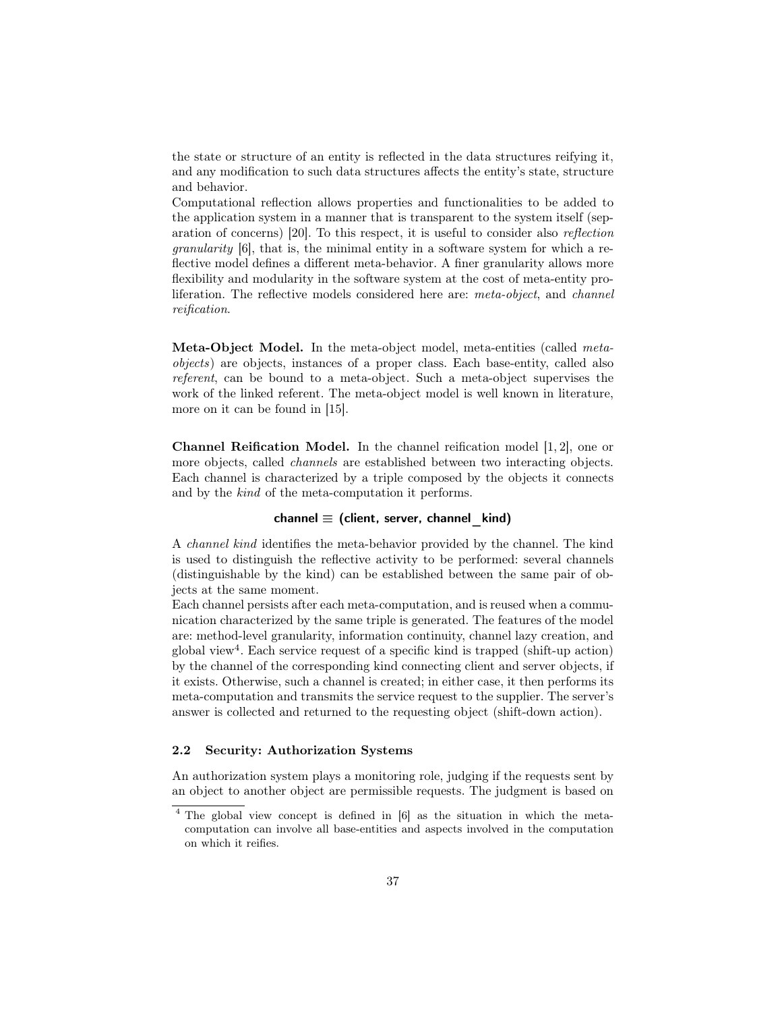the state or structure of an entity is reflected in the data structures reifying it, and any modification to such data structures affects the entity's state, structure and behavior.

Computational reflection allows properties and functionalities to be added to the application system in a manner that is transparent to the system itself (separation of concerns) [20]. To this respect, it is useful to consider also reflection granularity [6], that is, the minimal entity in a software system for which a reflective model defines a different meta-behavior. A finer granularity allows more flexibility and modularity in the software system at the cost of meta-entity proliferation. The reflective models considered here are: meta-object, and channel reification.

Meta-Object Model. In the meta-object model, meta-entities (called metaobjects) are objects, instances of a proper class. Each base-entity, called also referent, can be bound to a meta-object. Such a meta-object supervises the work of the linked referent. The meta-object model is well known in literature, more on it can be found in [15].

Channel Reification Model. In the channel reification model [1, 2], one or more objects, called channels are established between two interacting objects. Each channel is characterized by a triple composed by the objects it connects and by the kind of the meta-computation it performs.

### channel  $\equiv$  (client, server, channel kind)

A channel kind identifies the meta-behavior provided by the channel. The kind is used to distinguish the reflective activity to be performed: several channels (distinguishable by the kind) can be established between the same pair of objects at the same moment.

Each channel persists after each meta-computation, and is reused when a communication characterized by the same triple is generated. The features of the model are: method-level granularity, information continuity, channel lazy creation, and global view<sup>[4](#page-2-0)</sup>. Each service request of a specific kind is trapped (shift-up action) by the channel of the corresponding kind connecting client and server objects, if it exists. Otherwise, such a channel is created; in either case, it then performs its meta-computation and transmits the service request to the supplier. The server's answer is collected and returned to the requesting object (shift-down action).

### 2.2 Security: Authorization Systems

An authorization system plays a monitoring role, judging if the requests sent by an object to another object are permissible requests. The judgment is based on

<span id="page-2-0"></span><sup>4</sup> The global view concept is defined in [6] as the situation in which the metacomputation can involve all base-entities and aspects involved in the computation on which it reifies.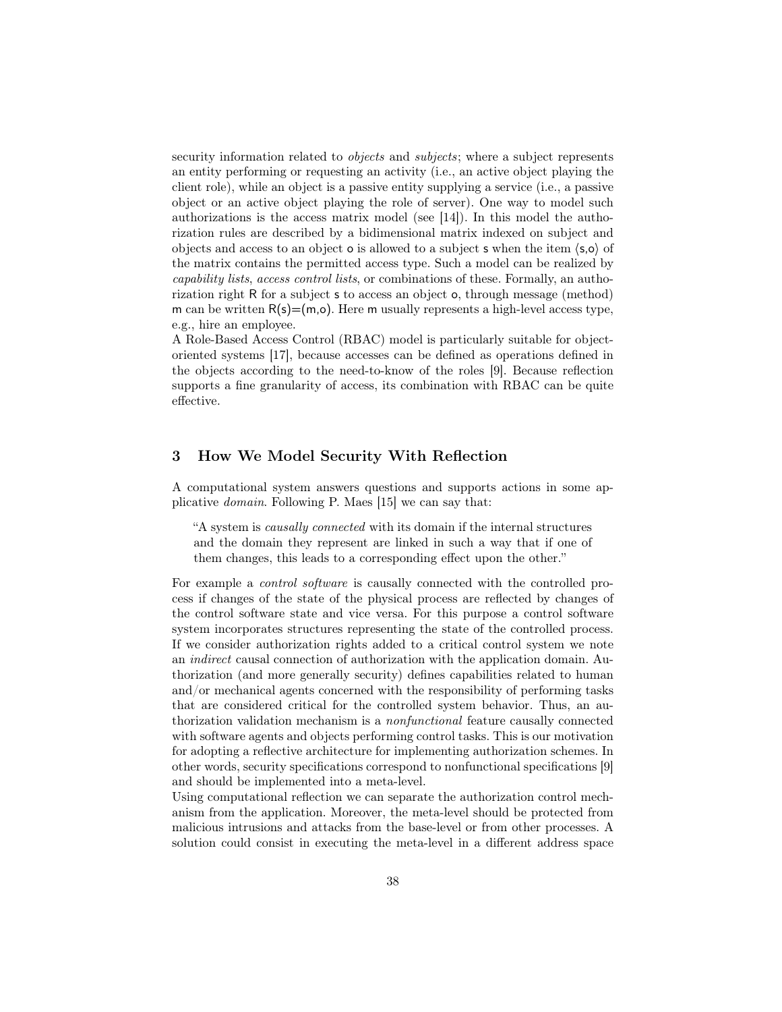security information related to *objects* and *subjects*; where a subject represents an entity performing or requesting an activity (i.e., an active object playing the client role), while an object is a passive entity supplying a service (i.e., a passive object or an active object playing the role of server). One way to model such authorizations is the access matrix model (see [14]). In this model the authorization rules are described by a bidimensional matrix indexed on subject and objects and access to an object **o** is allowed to a subject **s** when the item  $\langle s, \mathbf{o} \rangle$  of the matrix contains the permitted access type. Such a model can be realized by capability lists, access control lists, or combinations of these. Formally, an authorization right R for a subject s to access an object o, through message (method) m can be written  $R(s)=(m,o)$ . Here m usually represents a high-level access type, e.g., hire an employee.

A Role-Based Access Control (RBAC) model is particularly suitable for objectoriented systems [17], because accesses can be defined as operations defined in the objects according to the need-to-know of the roles [9]. Because reflection supports a fine granularity of access, its combination with RBAC can be quite effective.

# 3 How We Model Security With Reflection

A computational system answers questions and supports actions in some applicative domain. Following P. Maes [15] we can say that:

"A system is causally connected with its domain if the internal structures and the domain they represent are linked in such a way that if one of them changes, this leads to a corresponding effect upon the other."

For example a control software is causally connected with the controlled process if changes of the state of the physical process are reflected by changes of the control software state and vice versa. For this purpose a control software system incorporates structures representing the state of the controlled process. If we consider authorization rights added to a critical control system we note an indirect causal connection of authorization with the application domain. Authorization (and more generally security) defines capabilities related to human and/or mechanical agents concerned with the responsibility of performing tasks that are considered critical for the controlled system behavior. Thus, an authorization validation mechanism is a nonfunctional feature causally connected with software agents and objects performing control tasks. This is our motivation for adopting a reflective architecture for implementing authorization schemes. In other words, security specifications correspond to nonfunctional specifications [9] and should be implemented into a meta-level.

Using computational reflection we can separate the authorization control mechanism from the application. Moreover, the meta-level should be protected from malicious intrusions and attacks from the base-level or from other processes. A solution could consist in executing the meta-level in a different address space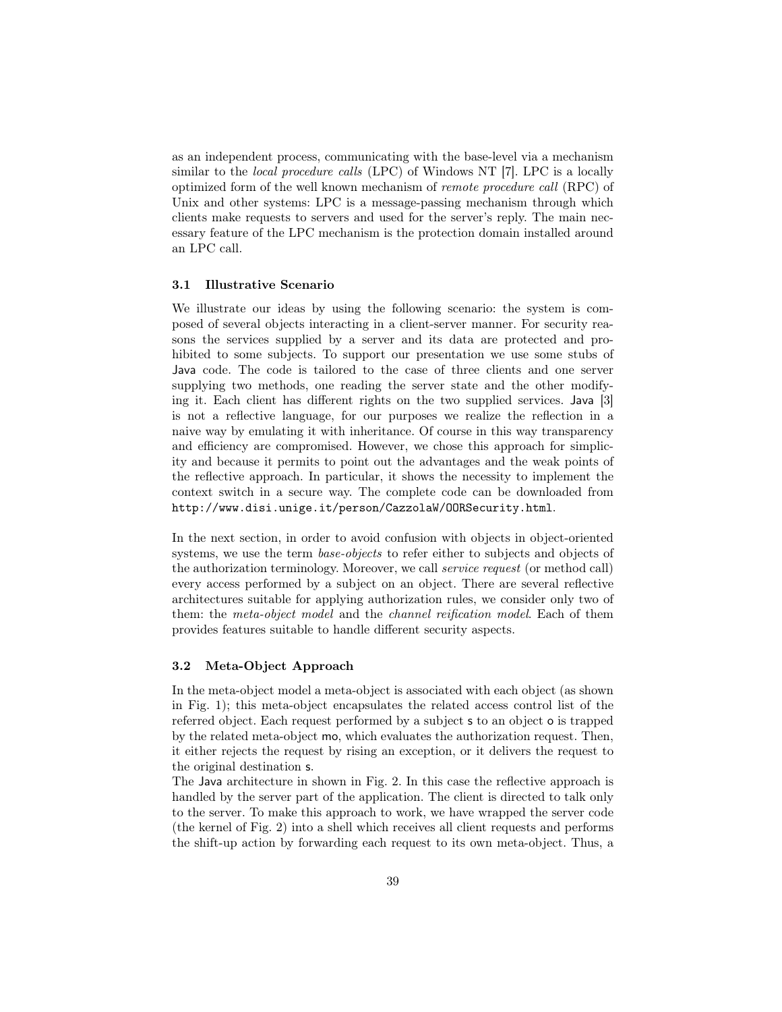as an independent process, communicating with the base-level via a mechanism similar to the *local procedure calls* (LPC) of Windows NT [7]. LPC is a locally optimized form of the well known mechanism of remote procedure call (RPC) of Unix and other systems: LPC is a message-passing mechanism through which clients make requests to servers and used for the server's reply. The main necessary feature of the LPC mechanism is the protection domain installed around an LPC call.

#### 3.1 Illustrative Scenario

We illustrate our ideas by using the following scenario: the system is composed of several objects interacting in a client-server manner. For security reasons the services supplied by a server and its data are protected and prohibited to some subjects. To support our presentation we use some stubs of Java code. The code is tailored to the case of three clients and one server supplying two methods, one reading the server state and the other modifying it. Each client has different rights on the two supplied services. Java [3] is not a reflective language, for our purposes we realize the reflection in a naive way by emulating it with inheritance. Of course in this way transparency and efficiency are compromised. However, we chose this approach for simplicity and because it permits to point out the advantages and the weak points of the reflective approach. In particular, it shows the necessity to implement the context switch in a secure way. The complete code can be downloaded from http://www.disi.unige.it/person/CazzolaW/OORSecurity.html.

In the next section, in order to avoid confusion with objects in object-oriented systems, we use the term *base-objects* to refer either to subjects and objects of the authorization terminology. Moreover, we call service request (or method call) every access performed by a subject on an object. There are several reflective architectures suitable for applying authorization rules, we consider only two of them: the meta-object model and the channel reification model. Each of them provides features suitable to handle different security aspects.

### 3.2 Meta-Object Approach

In the meta-object model a meta-object is associated with each object (as shown in Fig. [1\)](#page-5-0); this meta-object encapsulates the related access control list of the referred object. Each request performed by a subject s to an object o is trapped by the related meta-object mo, which evaluates the authorization request. Then, it either rejects the request by rising an exception, or it delivers the request to the original destination s.

The Java architecture in shown in Fig. [2.](#page-5-1) In this case the reflective approach is handled by the server part of the application. The client is directed to talk only to the server. To make this approach to work, we have wrapped the server code (the kernel of Fig. [2\)](#page-5-1) into a shell which receives all client requests and performs the shift-up action by forwarding each request to its own meta-object. Thus, a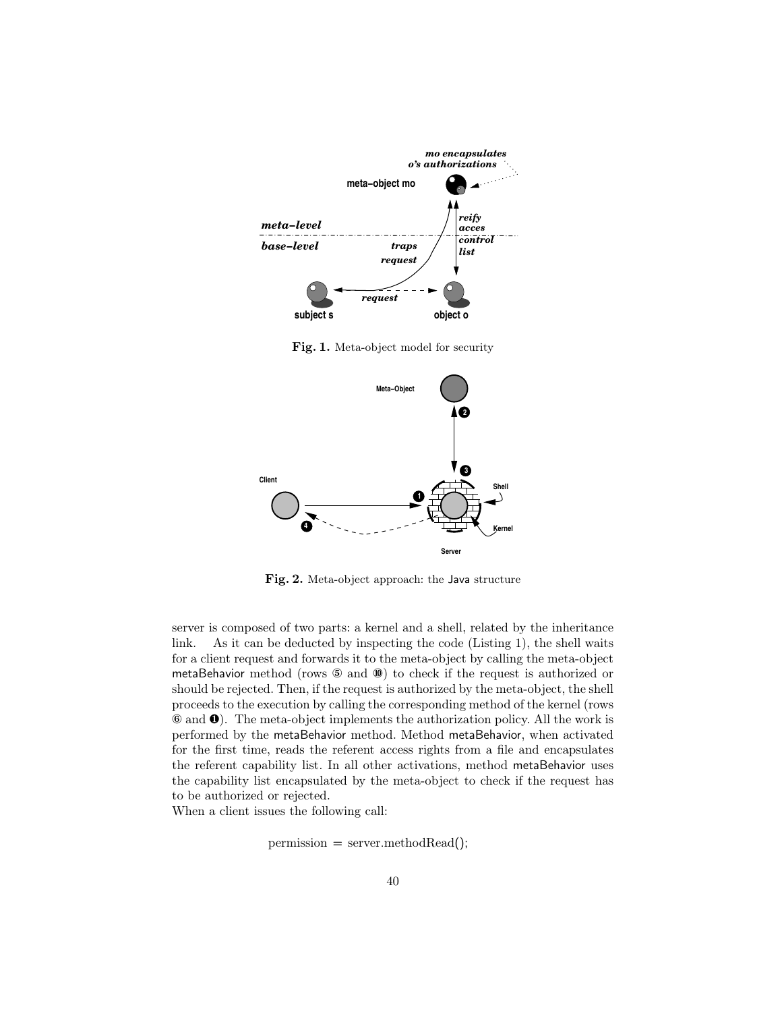

<span id="page-5-0"></span>Fig. 1. Meta-object model for security



<span id="page-5-1"></span>Fig. 2. Meta-object approach: the Java structure

server is composed of two parts: a kernel and a shell, related by the inheritance link. As it can be deducted by inspecting the code (Listing [1\)](#page-6-0), the shell waits for a client request and forwards it to the meta-object by calling the meta-object metaBehavior method (rows ⑤ and ⑩) to check if the request is authorized or should be rejected. Then, if the request is authorized by the meta-object, the shell proceeds to the execution by calling the corresponding method of the kernel (rows ⑥ and ❶). The meta-object implements the authorization policy. All the work is performed by the metaBehavior method. Method metaBehavior, when activated for the first time, reads the referent access rights from a file and encapsulates the referent capability list. In all other activations, method metaBehavior uses the capability list encapsulated by the meta-object to check if the request has to be authorized or rejected.

When a client issues the following call:

 $permission = server.methodRead();$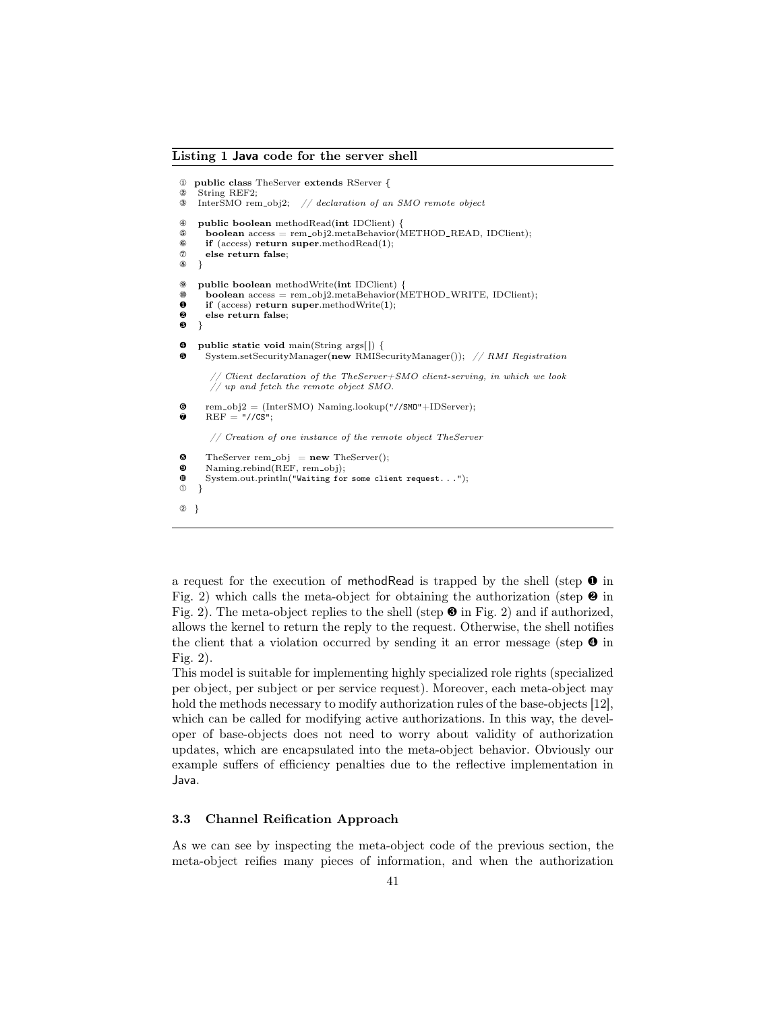#### Listing 1 Java code for the server shell

```
① public class TheServer extends RServer {
2 String REF2;<br>3 InterSMO rer
    InterSMO rem_obj2; // declaration of an SMO remote object9 public boolean methodRead(int IDClient) {<br>
9 boolean access = rem_obi2.metaBehavior(1)
boolean access = rem_obj2.metaBehavior(METHOD_READ, IDClient);<br>
6 if (access) return super methodRead(1):
6 if (access) return super.methodRead(1);<br>
6 else return false:
⑦ else return false;
    \mathcal{E}⑨ public boolean methodWrite(int IDClient) {
(0) boolean access = rem_obj2.metaBehavior(\text{METHOD}_WRITE, IDClient);<br>
0 if (access) return super methodWrite(1):
      if (access) return super.methodWrite(1);❷ else return false;
❸ }
❹ public static void main(String args[ ]) {
6 System.setSecurityManager(new RMISecurityManager()); // RMI Registration
           Client\ declaration\ of\ the\ The Server+SMO\ client\- serving,\ in\ which\ we\ look// up and fetch the remote object SMO.
0 rem_obj2 = (InterSMO) Naming.lookup("//SM0"+IDServer);<br>0 REF = "//CS"
      REF = "I/CS":// Creation of one instance of the remote object TheServer
\bullet TheServer rem_obj = new TheServer();
9 Naming.rebind(REF, rem_obj);<br>
0 System out println("Waiting for
\emptyset System.out.println("Waiting for some client request...");<br>
\emptyset }
   \{➁ }
```
<span id="page-6-0"></span>a request for the execution of methodRead is trapped by the shell (step  $\bullet$  in Fig. [2\)](#page-5-1) which calls the meta-object for obtaining the authorization (step  $\bullet$  in Fig. [2\)](#page-5-1). The meta-object replies to the shell (step  $\Theta$  in Fig. 2) and if authorized, allows the kernel to return the reply to the request. Otherwise, the shell notifies the client that a violation occurred by sending it an error message (step  $\pmb{\Theta}$  in Fig. [2\)](#page-5-1).

This model is suitable for implementing highly specialized role rights (specialized per object, per subject or per service request). Moreover, each meta-object may hold the methods necessary to modify authorization rules of the base-objects [12], which can be called for modifying active authorizations. In this way, the developer of base-objects does not need to worry about validity of authorization updates, which are encapsulated into the meta-object behavior. Obviously our example suffers of efficiency penalties due to the reflective implementation in Java.

### 3.3 Channel Reification Approach

As we can see by inspecting the meta-object code of the previous section, the meta-object reifies many pieces of information, and when the authorization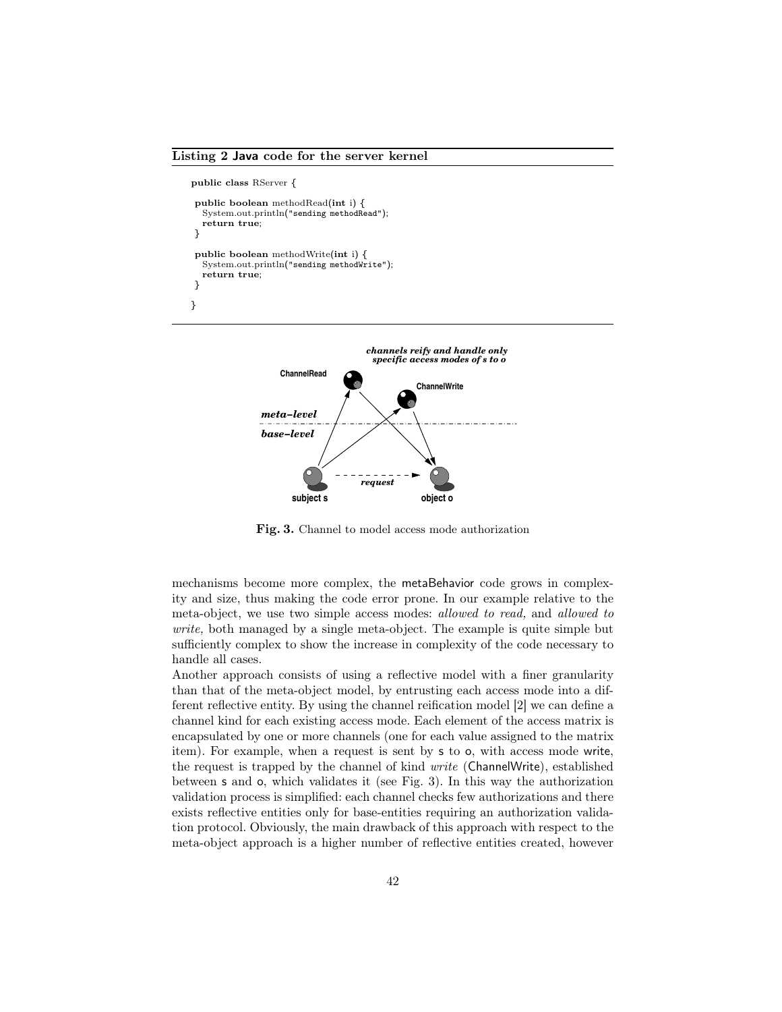Listing 2 Java code for the server kernel

```
public class RServer {
public boolean methodRead(int i) {
  System.out.println("sending methodRead");
  return true;
}
public boolean methodWrite(int i) {
  System.out.println("sending methodWrite");
  return true;
}
}
```


<span id="page-7-0"></span>Fig. 3. Channel to model access mode authorization

mechanisms become more complex, the metaBehavior code grows in complexity and size, thus making the code error prone. In our example relative to the meta-object, we use two simple access modes: allowed to read, and allowed to write, both managed by a single meta-object. The example is quite simple but sufficiently complex to show the increase in complexity of the code necessary to handle all cases.

Another approach consists of using a reflective model with a finer granularity than that of the meta-object model, by entrusting each access mode into a different reflective entity. By using the channel reification model [2] we can define a channel kind for each existing access mode. Each element of the access matrix is encapsulated by one or more channels (one for each value assigned to the matrix item). For example, when a request is sent by s to o, with access mode write, the request is trapped by the channel of kind write (ChannelWrite), established between s and o, which validates it (see Fig. [3\)](#page-7-0). In this way the authorization validation process is simplified: each channel checks few authorizations and there exists reflective entities only for base-entities requiring an authorization validation protocol. Obviously, the main drawback of this approach with respect to the meta-object approach is a higher number of reflective entities created, however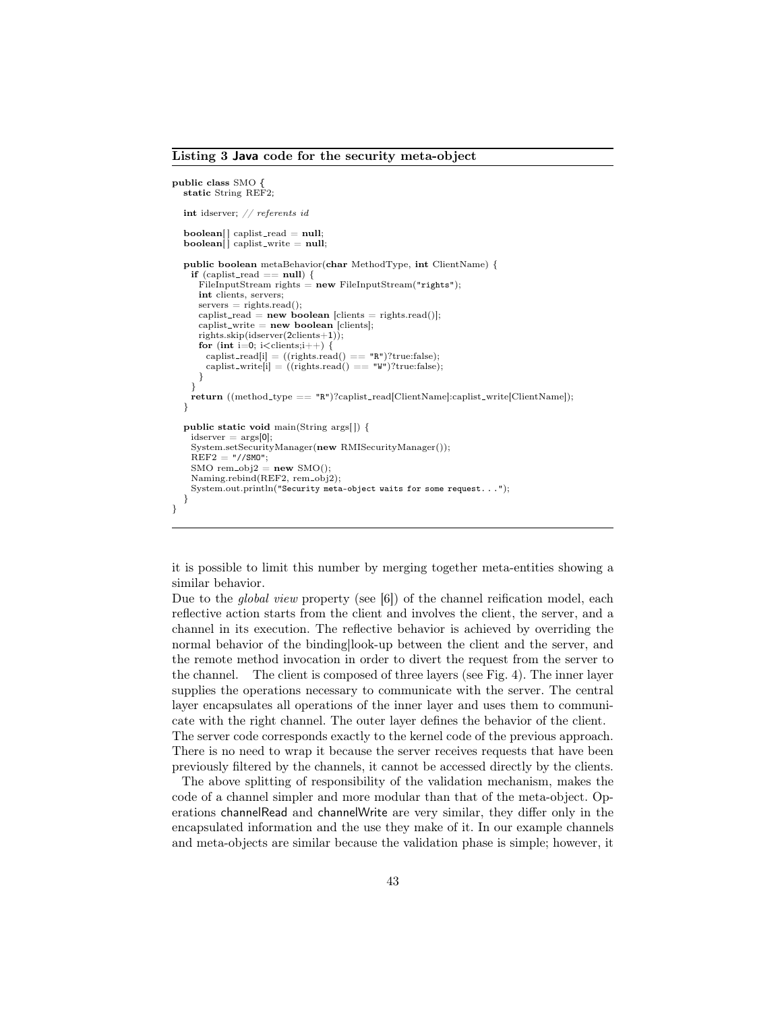```
public class SMO {
  static String REF2;
  int idserver; // referents id
  [] caplist_read = <b>null:
  \text{boolean}[\ ] caplist_write = null;
  public boolean metaBehavior(char MethodType, int ClientName) {
    if (caplist_read == null) {
      FileInputStream rights = new FileInputStream("rights");int clients, servers;
      servers = rights.read():
      caplist_read = new boolean [clients = rights.read()];
      caplist_write = new boolean [clients];
      rights.skip(idserver(2clients+1));
      for (int i=0; i<clients;i++) {
       caplist\_read[i] = ((rights.read() == "R")?true:false);caplist_write[i] = ((\text{rights.read}() == "W")?true:false);
      }
    }
    return ((method_type == "R")?caplist_read[ClientName]:caplist_write[ClientName]);
  }
  public static void main(String args[ ]) {
    idserver = args[0];System.setSecurityManager(new RMISecurityManager());
    \text{REF2} = \frac{\text{m}}{\text{SMO}}";
    SMO rem_obj2 = new SMO();
    Naming.rebind(REF2, rem_obj2);
    System.out.println("Security meta-object waits for some request. . .");
  }
}
```
it is possible to limit this number by merging together meta-entities showing a similar behavior.

Due to the *global view* property (see [6]) of the channel reification model, each reflective action starts from the client and involves the client, the server, and a channel in its execution. The reflective behavior is achieved by overriding the normal behavior of the bindingjlook-up between the client and the server, and the remote method invocation in order to divert the request from the server to the channel. The client is composed of three layers (see Fig. [4\)](#page-9-0). The inner layer supplies the operations necessary to communicate with the server. The central layer encapsulates all operations of the inner layer and uses them to communicate with the right channel. The outer layer defines the behavior of the client. The server code corresponds exactly to the kernel code of the previous approach.

There is no need to wrap it because the server receives requests that have been previously filtered by the channels, it cannot be accessed directly by the clients. The above splitting of responsibility of the validation mechanism, makes the code of a channel simpler and more modular than that of the meta-object. Op-

erations channelRead and channelWrite are very similar, they differ only in the encapsulated information and the use they make of it. In our example channels and meta-objects are similar because the validation phase is simple; however, it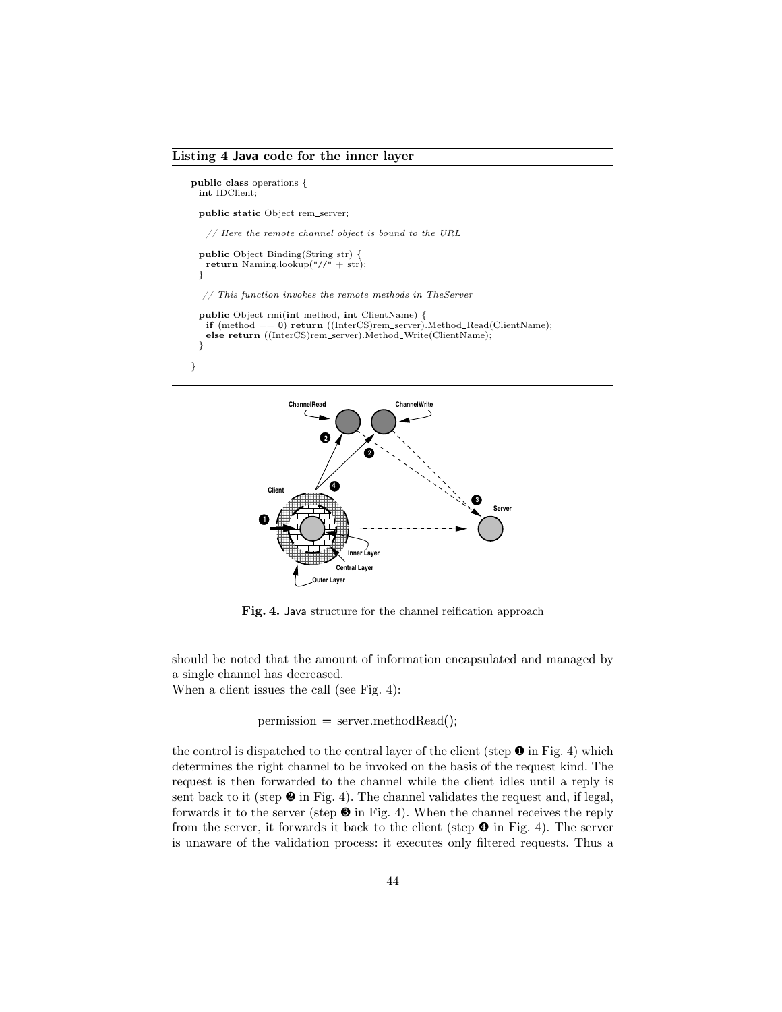Listing 4 Java code for the inner layer

```
public class operations {
 int IDClient;
  public static Object rem_server;
    // Here the remote channel object is bound to the URL
  public Object Binding(String str) {
   return Naming.lookup("//" + str);
  }
   // This function invokes the remote methods in TheServer
  public Object rmi(int method, int ClientName) {
    if (method == 0) return ((InterCS)rem_server).Method_Read(ClientName);<br>else return ((InterCS)rem_server).Method_Write(ClientName);
  }
}
```


<span id="page-9-0"></span>Fig. 4. Java structure for the channel reification approach

should be noted that the amount of information encapsulated and managed by a single channel has decreased.

When a client issues the call (see Fig. [4\)](#page-9-0):

 $permission = server.methodRead();$ 

the control is dispatched to the central layer of the client (step  $\bullet$  in Fig. [4\)](#page-9-0) which determines the right channel to be invoked on the basis of the request kind. The request is then forwarded to the channel while the client idles until a reply is sent back to it (step  $\Theta$  in Fig. [4\)](#page-9-0). The channel validates the request and, if legal, forwards it to the server (step  $\bullet$  in Fig. [4\)](#page-9-0). When the channel receives the reply from the server, it forwards it back to the client (step  $\Theta$  in Fig. [4\)](#page-9-0). The server is unaware of the validation process: it executes only filtered requests. Thus a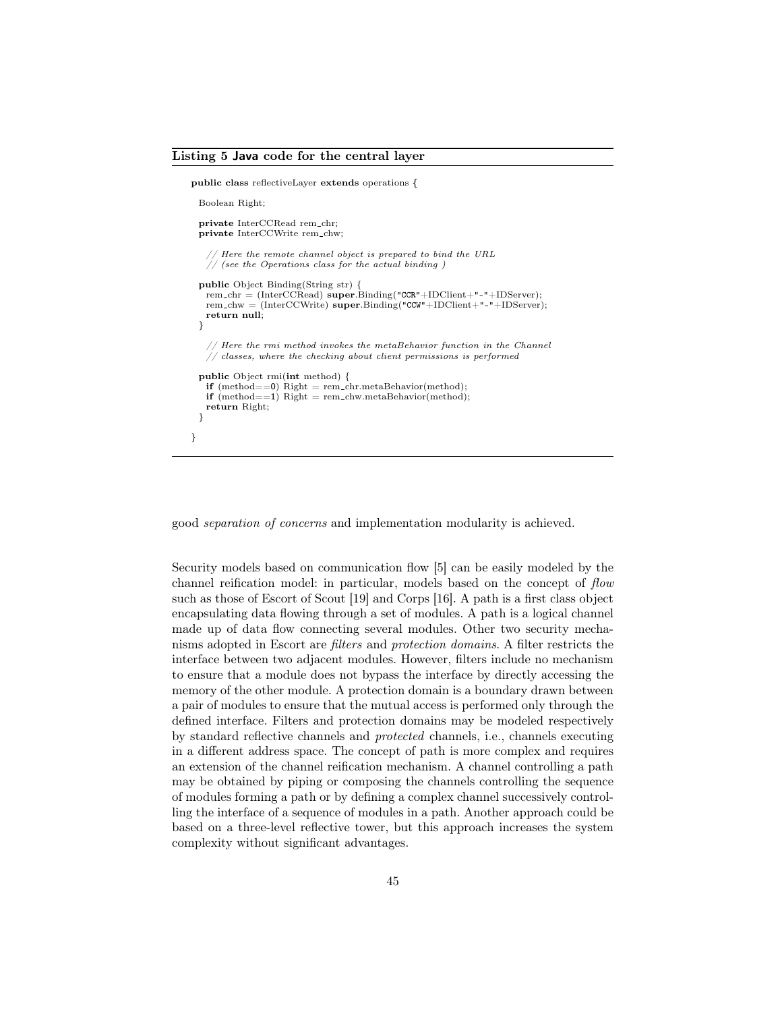#### Listing 5 Java code for the central layer

```
public class reflectiveLayer extends operations {
 Boolean Right;
 private InterCCRead rem chr;
 private InterCCWrite rem chw;
      Here the remote channel object is prepared to bind the URL
   // (see the Operations class for the actual binding )
 public Object Binding(String str) {
   rem_chr = (InterCCRead) super.Binding("CCR"+IDClient+"-"+IDServer);
   rem\_chw = (InterCCWrite) super.Binding("CCW" + IDClient + " - " + IDServer);return null;
 }
    // Here the rmi method invokes the metaBehavior function in the Channel
   \sqrt{ } classes, where the checking about client permissions is performed
 public Object rmi(int method) {
   if (method==0) Right = rem_{chr.metab}ehavior(method);if (method==1) Right = rem_chw.metaBehavior(method);
   return Right;
 }
}
```
good separation of concerns and implementation modularity is achieved.

Security models based on communication flow [5] can be easily modeled by the channel reification model: in particular, models based on the concept of flow such as those of Escort of Scout [19] and Corps [16]. A path is a first class object encapsulating data flowing through a set of modules. A path is a logical channel made up of data flow connecting several modules. Other two security mechanisms adopted in Escort are filters and protection domains. A filter restricts the interface between two adjacent modules. However, filters include no mechanism to ensure that a module does not bypass the interface by directly accessing the memory of the other module. A protection domain is a boundary drawn between a pair of modules to ensure that the mutual access is performed only through the defined interface. Filters and protection domains may be modeled respectively by standard reflective channels and protected channels, i.e., channels executing in a different address space. The concept of path is more complex and requires an extension of the channel reification mechanism. A channel controlling a path may be obtained by piping or composing the channels controlling the sequence of modules forming a path or by defining a complex channel successively controlling the interface of a sequence of modules in a path. Another approach could be based on a three-level reflective tower, but this approach increases the system complexity without significant advantages.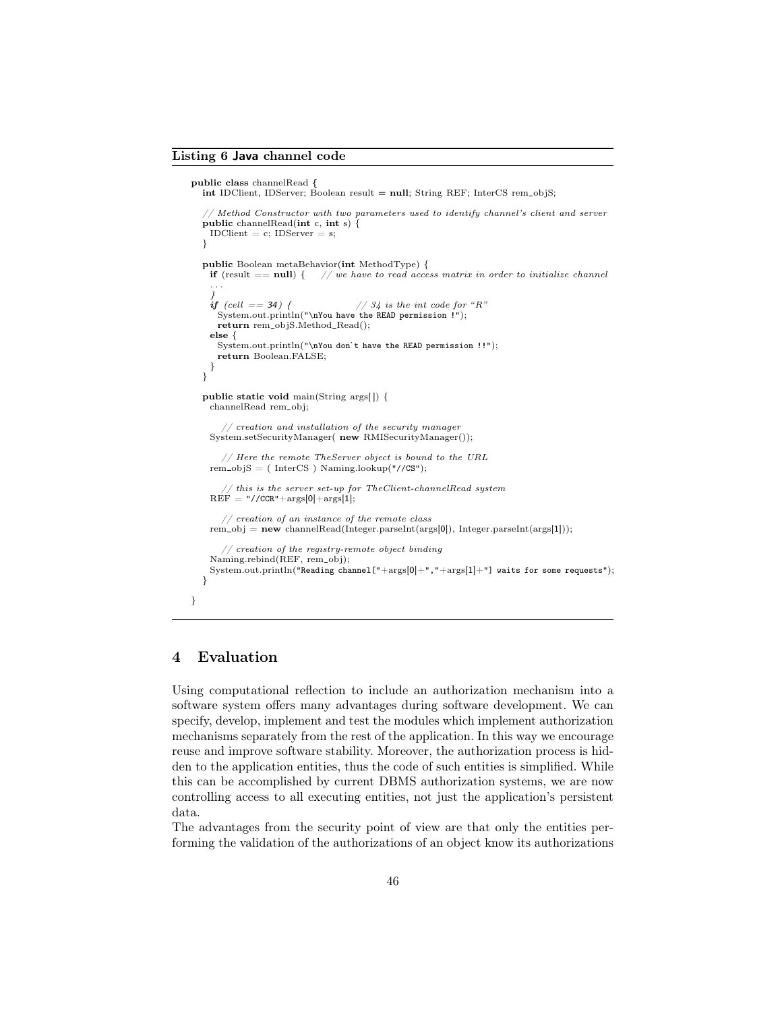#### Listing 6 Java channel code

```
public class channelRead {
  int IDClient, IDServer; Boolean result = null; String REF; InterCS rem_objS;
     // Method Constructor with two parameters used to identify channel's client and server
  public channelRead(int c, int s) {
    IDClient = c; IDServer = s;}
  public Boolean metaBehavior(int MethodType) {
    if (result == null) { // we have to read access matrix in order to initialize channel
    . . .
    }
    if (cell == 34) { \frac{34}{15} khe int code for "R" System.out.println("\nYou have the READ permission !");
      return rem_objS.Method_Read();
    else {
      System.out.println("\nYou don't have the READ permission !!");
      return Boolean.FALSE;
    }
  }
  public static void main(String args[ ]) {
    channelRead rem_obj;
        // creation and installation of the security manager
    System.setSecurityManager( new RMISecurityManager());
       // Here the remote TheServer object is bound to the URL
    rem\_objS = (InterCS) \ Naming.lookup("//CS");\ell this is the server set-up for TheClient-channelRead system
    REF = "//CCR"+args[0]+args[1];
       // creation of an instance of the remote class
    rem\_obj = new channelRead(Integer.parseInt(args[0]), Integer.parseInt(args[1])),// creation of the registry-remote object binding
    Naming.rebind(REF, rem_obj);
    System.out.println("Reading channel["+args[0]+","+args[1]+"] waits for some requests");
  }
}
```
# 4 Evaluation

Using computational reflection to include an authorization mechanism into a software system offers many advantages during software development. We can specify, develop, implement and test the modules which implement authorization mechanisms separately from the rest of the application. In this way we encourage reuse and improve software stability. Moreover, the authorization process is hidden to the application entities, thus the code of such entities is simplified. While this can be accomplished by current DBMS authorization systems, we are now controlling access to all executing entities, not just the application's persistent data.

The advantages from the security point of view are that only the entities performing the validation of the authorizations of an object know its authorizations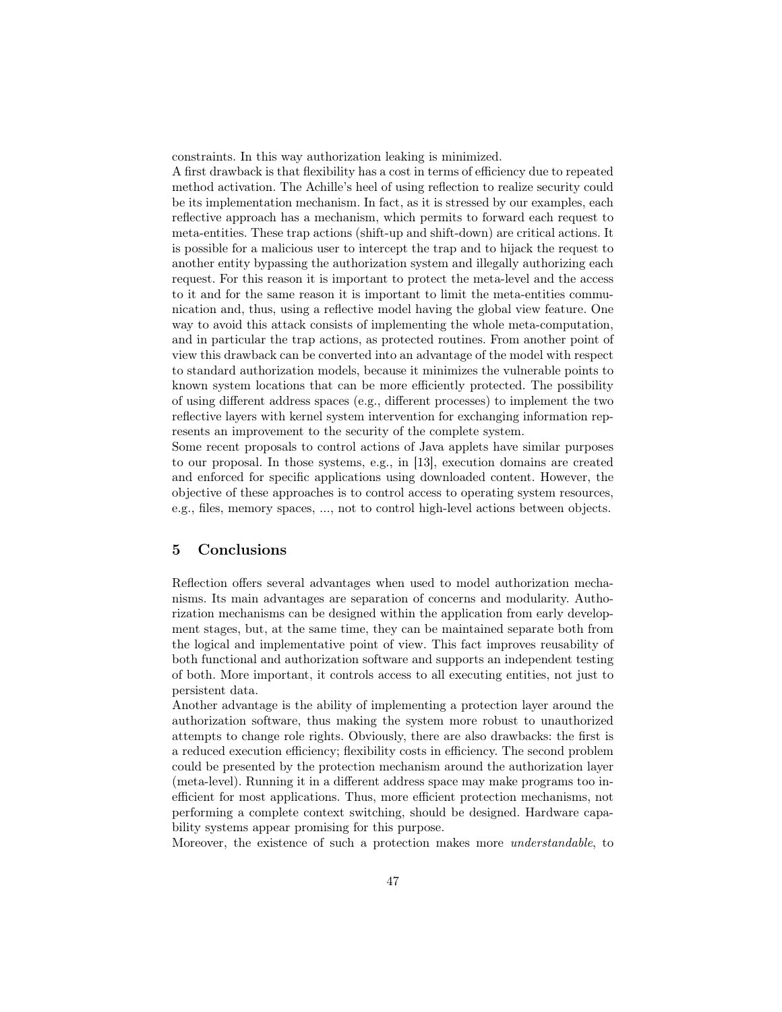constraints. In this way authorization leaking is minimized.

A first drawback is that flexibility has a cost in terms of efficiency due to repeated method activation. The Achille's heel of using reflection to realize security could be its implementation mechanism. In fact, as it is stressed by our examples, each reflective approach has a mechanism, which permits to forward each request to meta-entities. These trap actions (shift-up and shift-down) are critical actions. It is possible for a malicious user to intercept the trap and to hijack the request to another entity bypassing the authorization system and illegally authorizing each request. For this reason it is important to protect the meta-level and the access to it and for the same reason it is important to limit the meta-entities communication and, thus, using a reflective model having the global view feature. One way to avoid this attack consists of implementing the whole meta-computation, and in particular the trap actions, as protected routines. From another point of view this drawback can be converted into an advantage of the model with respect to standard authorization models, because it minimizes the vulnerable points to known system locations that can be more efficiently protected. The possibility of using different address spaces (e.g., different processes) to implement the two reflective layers with kernel system intervention for exchanging information represents an improvement to the security of the complete system.

Some recent proposals to control actions of Java applets have similar purposes to our proposal. In those systems, e.g., in [13], execution domains are created and enforced for specific applications using downloaded content. However, the objective of these approaches is to control access to operating system resources, e.g., files, memory spaces, ..., not to control high-level actions between objects.

### 5 Conclusions

Reflection offers several advantages when used to model authorization mechanisms. Its main advantages are separation of concerns and modularity. Authorization mechanisms can be designed within the application from early development stages, but, at the same time, they can be maintained separate both from the logical and implementative point of view. This fact improves reusability of both functional and authorization software and supports an independent testing of both. More important, it controls access to all executing entities, not just to persistent data.

Another advantage is the ability of implementing a protection layer around the authorization software, thus making the system more robust to unauthorized attempts to change role rights. Obviously, there are also drawbacks: the first is a reduced execution efficiency; flexibility costs in efficiency. The second problem could be presented by the protection mechanism around the authorization layer (meta-level). Running it in a different address space may make programs too inefficient for most applications. Thus, more efficient protection mechanisms, not performing a complete context switching, should be designed. Hardware capability systems appear promising for this purpose.

Moreover, the existence of such a protection makes more understandable, to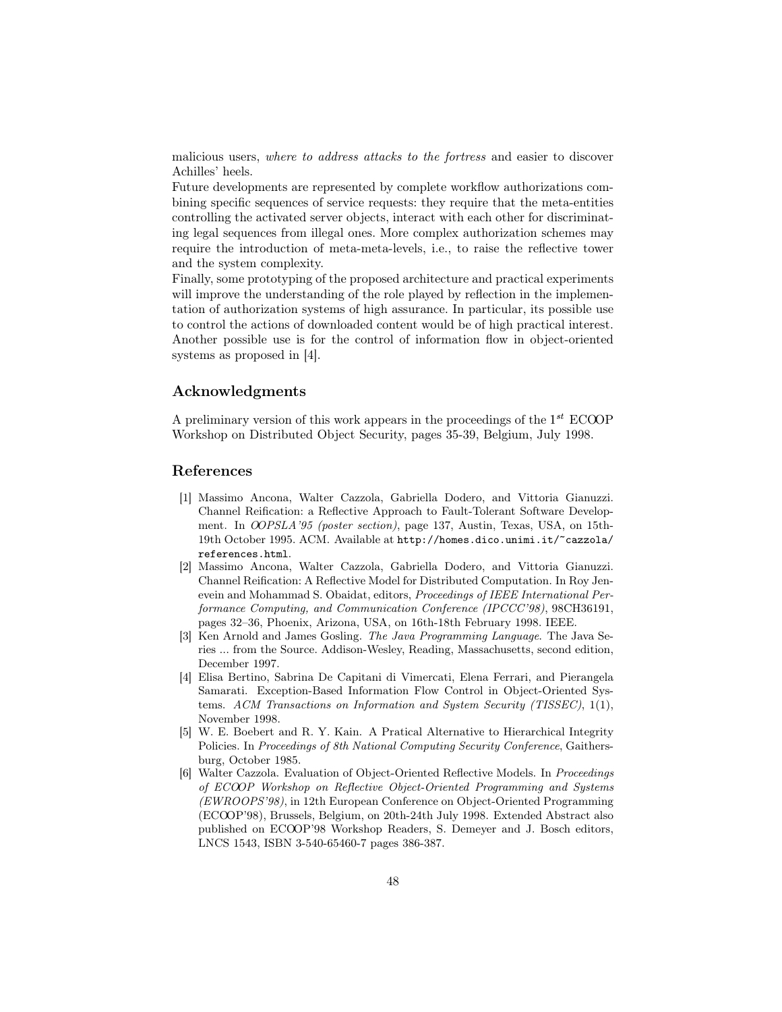malicious users, where to address attacks to the fortress and easier to discover Achilles' heels.

Future developments are represented by complete workflow authorizations combining specific sequences of service requests: they require that the meta-entities controlling the activated server objects, interact with each other for discriminating legal sequences from illegal ones. More complex authorization schemes may require the introduction of meta-meta-levels, i.e., to raise the reflective tower and the system complexity.

Finally, some prototyping of the proposed architecture and practical experiments will improve the understanding of the role played by reflection in the implementation of authorization systems of high assurance. In particular, its possible use to control the actions of downloaded content would be of high practical interest. Another possible use is for the control of information flow in object-oriented systems as proposed in [4].

# Acknowledgments

A preliminary version of this work appears in the proceedings of the  $1^{st}$  ECOOP Workshop on Distributed Object Security, pages 35-39, Belgium, July 1998.

# References

- [1] Massimo Ancona, Walter Cazzola, Gabriella Dodero, and Vittoria Gianuzzi. Channel Reification: a Reflective Approach to Fault-Tolerant Software Development. In *OOPSLA'95 (poster section)*, page 137, Austin, Texas, USA, on 15th-19th October 1995. ACM. Available at [http://homes.dico.unimi.it/~cazzola/](http://homes.dico.unimi.it/~cazzola/references.html) [references.html](http://homes.dico.unimi.it/~cazzola/references.html).
- [2] Massimo Ancona, Walter Cazzola, Gabriella Dodero, and Vittoria Gianuzzi. Channel Reification: A Reflective Model for Distributed Computation. In Roy Jenevein and Mohammad S. Obaidat, editors, Proceedings of IEEE International Performance Computing, and Communication Conference (IPCCC'98), 98CH36191, pages 32–36, Phoenix, Arizona, USA, on 16th-18th February 1998. IEEE.
- [3] Ken Arnold and James Gosling. The Java Programming Language. The Java Series ... from the Source. Addison-Wesley, Reading, Massachusetts, second edition, December 1997.
- [4] Elisa Bertino, Sabrina De Capitani di Vimercati, Elena Ferrari, and Pierangela Samarati. Exception-Based Information Flow Control in Object-Oriented Systems. ACM Transactions on Information and System Security (TISSEC), 1(1), November 1998.
- [5] W. E. Boebert and R. Y. Kain. A Pratical Alternative to Hierarchical Integrity Policies. In Proceedings of 8th National Computing Security Conference, Gaithersburg, October 1985.
- [6] Walter Cazzola. Evaluation of Object-Oriented Reflective Models. In Proceedings of ECOOP Workshop on Reflective Object-Oriented Programming and Systems (EWROOPS'98), in 12th European Conference on Object-Oriented Programming (ECOOP'98), Brussels, Belgium, on 20th-24th July 1998. Extended Abstract also published on ECOOP'98 Workshop Readers, S. Demeyer and J. Bosch editors, LNCS 1543, ISBN 3-540-65460-7 pages 386-387.